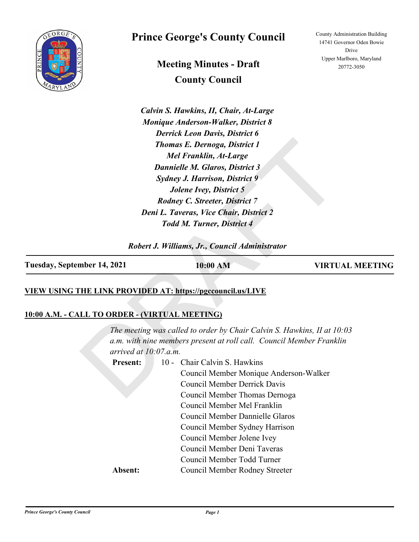

# **Prince George's County Council**

**Meeting Minutes - Draft County Council**

*Calvin S. Hawkins, II, Chair, At-Large Monique Anderson-Walker, District 8 Derrick Leon Davis, District 6 Thomas E. Dernoga, District 1 Mel Franklin, At-Large Dannielle M. Glaros, District 3 Sydney J. Harrison, District 9 Jolene Ivey, District 5 Rodney C. Streeter, District 7 Deni L. Taveras, Vice Chair, District 2 Todd M. Turner, District 4*

*Robert J. Williams, Jr., Council Administrator*

| Tuesday, September 14, 2021 | 10:00 AM | <b>VIRTUAL MEETING</b> |
|-----------------------------|----------|------------------------|
|                             |          |                        |

#### **VIEW USING THE LINK PROVIDED AT: https://pgccouncil.us/LIVE**

#### **10:00 A.M. - CALL TO ORDER - (VIRTUAL MEETING)**

Thomas E. Dernoga, District 1<br>
Mel Franklin, At-Large<br>
Dannielle M. Glaros, District 3<br>
Sydney J. Harrison, District 5<br>
Jolene Ivey, District 7<br>
Rodney C. Streeter, District 7<br>
Deni L. Taveras, Vice Chair, District 2<br>
Todd *The meeting was called to order by Chair Calvin S. Hawkins, II at 10:03 a.m. with nine members present at roll call. Council Member Franklin arrived at 10:07.a.m.* 10 - Chair Calvin S. Hawkins Council Member Monique Anderson-Walker Council Member Derrick Davis Council Member Thomas Dernoga Council Member Mel Franklin Council Member Dannielle Glaros Council Member Sydney Harrison Council Member Jolene Ivey Council Member Deni Taveras Council Member Todd Turner **Present: Absent:** Council Member Rodney Streeter

County Administration Building 14741 Governor Oden Bowie Drive Upper Marlboro, Maryland 20772-3050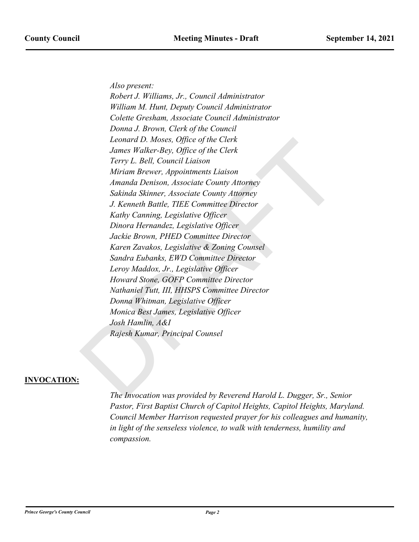*Also present:*

Leonard D. Moses, Office of the Clerk<br>James Walker-Bey, Office of the Clerk<br>Terry L. Rell, Council Liaison<br>Miriam Brewer, Appointments Liaison<br>Amanda Denison, Associate County Attorney<br>Sakinda Skinner, Associate County Att *Robert J. Williams, Jr., Council Administrator William M. Hunt, Deputy Council Administrator Colette Gresham, Associate Council Administrator Donna J. Brown, Clerk of the Council Leonard D. Moses, Office of the Clerk James Walker-Bey, Office of the Clerk Terry L. Bell, Council Liaison Miriam Brewer, Appointments Liaison Amanda Denison, Associate County Attorney Sakinda Skinner, Associate County Attorney J. Kenneth Battle, TIEE Committee Director Kathy Canning, Legislative Officer Dinora Hernandez, Legislative Officer Jackie Brown, PHED Committee Director Karen Zavakos, Legislative & Zoning Counsel Sandra Eubanks, EWD Committee Director Leroy Maddox, Jr., Legislative Officer Howard Stone, GOFP Committee Director Nathaniel Tutt, III, HHSPS Committee Director Donna Whitman, Legislative Officer Monica Best James, Legislative Officer Josh Hamlin, A&I Rajesh Kumar, Principal Counsel*

#### **INVOCATION:**

*The Invocation was provided by Reverend Harold L. Dugger, Sr., Senior Pastor, First Baptist Church of Capitol Heights, Capitol Heights, Maryland. Council Member Harrison requested prayer for his colleagues and humanity, in light of the senseless violence, to walk with tenderness, humility and compassion.*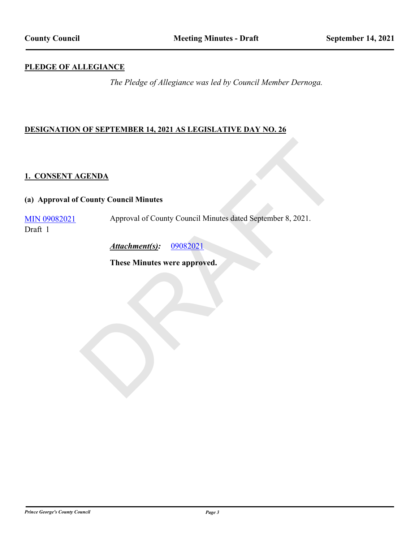#### **PLEDGE OF ALLEGIANCE**

*The Pledge of Allegiance was led by Council Member Dernoga.*

#### **DESIGNATION OF SEPTEMBER 14, 2021 AS LEGISLATIVE DAY NO. 26**

#### **1. CONSENT AGENDA**

#### **(a) Approval of County Council Minutes**

CENDA<br>
County Council Minutes<br>
Approval of County Council Minutes dated September 8, 2021.<br>
Attachment(s): 09082021<br>
These Minutes were approved. [MIN 09082021](http://princegeorgescountymd.legistar.com/gateway.aspx?m=l&id=/matter.aspx?key=14140) Approval of County Council Minutes dated September 8, 2021. Draft 1

*Attachment(s):* 09082021

**These Minutes were approved.**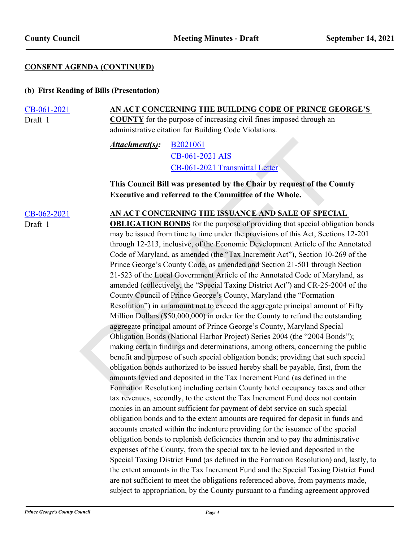#### **CONSENT AGENDA (CONTINUED)**

#### **(b) First Reading of Bills (Presentation)**

#### [CB-061-2021](http://princegeorgescountymd.legistar.com/gateway.aspx?m=l&id=/matter.aspx?key=14121) **AN ACT CONCERNING THE BUILDING CODE OF PRINCE GEORGE'S COUNTY** for the purpose of increasing civil fines imposed through an administrative citation for Building Code Violations. Draft 1

B2021061 CB-061-2021 AIS CB-061-2021 Transmittal Letter *Attachment(s):*

#### **This Council Bill was presented by the Chair by request of the County Executive and referred to the Committee of the Whole.**

Draft 1

#### [CB-062-2021](http://princegeorgescountymd.legistar.com/gateway.aspx?m=l&id=/matter.aspx?key=14125) **AN ACT CONCERNING THE ISSUANCE AND SALE OF SPECIAL**

**Attachment(s):** B2021061<br>
CB-061-2021 AIS<br>
CB-061-2021 [T](http://princegeorgescountymd.legistar.com/gateway.aspx?M=F&ID=8ec35581-4b8a-4c01-8f0f-f5228641afcc.pdf)ransmittal Letter<br>
This Council Bill was presented by the Chair by request of the Co<br>
Executive and referred to the Committee of the Whole.<br>
AN ACT CONCERNING THE I **OBLIGATION BONDS** for the purpose of providing that special obligation bonds may be issued from time to time under the provisions of this Act, Sections 12-201 through 12-213, inclusive, of the Economic Development Article of the Annotated Code of Maryland, as amended (the "Tax Increment Act"), Section 10-269 of the Prince George's County Code, as amended and Section 21-501 through Section 21-523 of the Local Government Article of the Annotated Code of Maryland, as amended (collectively, the "Special Taxing District Act") and CR-25-2004 of the County Council of Prince George's County, Maryland (the "Formation Resolution") in an amount not to exceed the aggregate principal amount of Fifty Million Dollars (\$50,000,000) in order for the County to refund the outstanding aggregate principal amount of Prince George's County, Maryland Special Obligation Bonds (National Harbor Project) Series 2004 (the "2004 Bonds"); making certain findings and determinations, among others, concerning the public benefit and purpose of such special obligation bonds; providing that such special obligation bonds authorized to be issued hereby shall be payable, first, from the amounts levied and deposited in the Tax Increment Fund (as defined in the Formation Resolution) including certain County hotel occupancy taxes and other tax revenues, secondly, to the extent the Tax Increment Fund does not contain monies in an amount sufficient for payment of debt service on such special obligation bonds and to the extent amounts are required for deposit in funds and accounts created within the indenture providing for the issuance of the special obligation bonds to replenish deficiencies therein and to pay the administrative expenses of the County, from the special tax to be levied and deposited in the Special Taxing District Fund (as defined in the Formation Resolution) and, lastly, to the extent amounts in the Tax Increment Fund and the Special Taxing District Fund are not sufficient to meet the obligations referenced above, from payments made, subject to appropriation, by the County pursuant to a funding agreement approved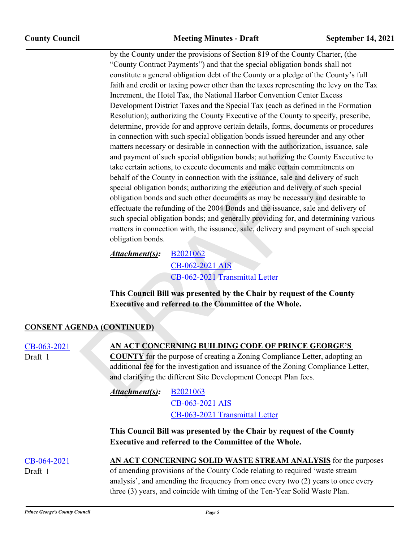metancial with such parallel in connection with the authorization, issue<br>
matters necessary or desirable in connection with the authorization, issue<br>
and payment of such special obligation bonds; authorizing the County Es<br> by the County under the provisions of Section 819 of the County Charter, (the "County Contract Payments") and that the special obligation bonds shall not constitute a general obligation debt of the County or a pledge of the County's full faith and credit or taxing power other than the taxes representing the levy on the Tax Increment, the Hotel Tax, the National Harbor Convention Center Excess Development District Taxes and the Special Tax (each as defined in the Formation Resolution); authorizing the County Executive of the County to specify, prescribe, determine, provide for and approve certain details, forms, documents or procedures in connection with such special obligation bonds issued hereunder and any other matters necessary or desirable in connection with the authorization, issuance, sale and payment of such special obligation bonds; authorizing the County Executive to take certain actions, to execute documents and make certain commitments on behalf of the County in connection with the issuance, sale and delivery of such special obligation bonds; authorizing the execution and delivery of such special obligation bonds and such other documents as may be necessary and desirable to effectuate the refunding of the 2004 Bonds and the issuance, sale and delivery of such special obligation bonds; and generally providing for, and determining various matters in connection with, the issuance, sale, delivery and payment of such special obligation bonds.

B2021062 CB-062-2021 AIS CB-062-2021 Transmittal Letter *Attachment(s):*

**This Council Bill was presented by the Chair by request of the County Executive and referred to the Committee of the Whole.**

#### **CONSENT AGENDA (CONTINUED)**

| CB-063-2021<br>Draft 1 | AN ACT CONCERNING BUILDING CODE OF PRINCE GEORGE'S<br><b>COUNTY</b> for the purpose of creating a Zoning Compliance Letter, adopting an<br>additional fee for the investigation and issuance of the Zoning Compliance Letter,<br>and clarifying the different Site Development Concept Plan fees. |  |
|------------------------|---------------------------------------------------------------------------------------------------------------------------------------------------------------------------------------------------------------------------------------------------------------------------------------------------|--|
|                        | Attachment(s):<br><b>B2021063</b>                                                                                                                                                                                                                                                                 |  |
|                        | CB-063-2021 AIS                                                                                                                                                                                                                                                                                   |  |
|                        | CB-063-2021 Transmittal Letter                                                                                                                                                                                                                                                                    |  |
|                        | This Council Bill was presented by the Chair by request of the County<br><b>Executive and referred to the Committee of the Whole.</b>                                                                                                                                                             |  |
| CB-064-2021            | AN ACT CONCERNING SOLID WASTE STREAM ANALYSIS for the purposes                                                                                                                                                                                                                                    |  |
| Draft 1                | of amending provisions of the County Code relating to required 'waste stream                                                                                                                                                                                                                      |  |
|                        | analysis', and amending the frequency from once every two (2) years to once every                                                                                                                                                                                                                 |  |
|                        | three (3) years, and coincide with timing of the Ten-Year Solid Waste Plan.                                                                                                                                                                                                                       |  |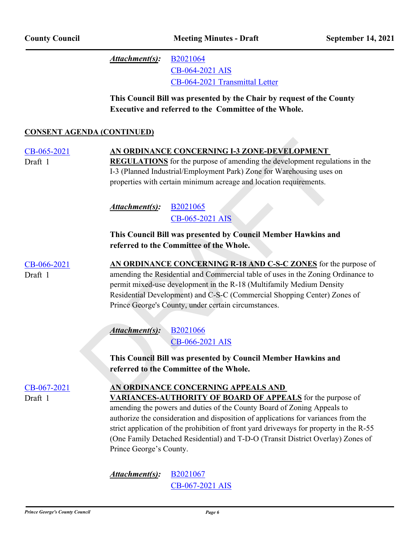[B2021064](http://princegeorgescountymd.legistar.com/gateway.aspx?M=F&ID=c85f2fc9-7a79-415c-a958-d3adc8dca14e.doc) [CB-064-2021 AIS](http://princegeorgescountymd.legistar.com/gateway.aspx?M=F&ID=9d5c06ad-92ab-4933-b320-671e7a3d6f85.pdf) [CB-064-2021 Transmittal Letter](http://princegeorgescountymd.legistar.com/gateway.aspx?M=F&ID=277299b7-50e2-44de-9545-7f6962357e76.pdf) *Attachment(s):*

**This Council Bill was presented by the Chair by request of the County Executive and referred to the Committee of the Whole.**

#### **CONSENT AGENDA (CONTINUED)**

**AN O[R](http://princegeorgescountymd.legistar.com/gateway.aspx?M=F&ID=9d4dea8b-5fa0-43e0-a300-0ab5b51d8eb7.doc)DIN[A](http://princegeorgescountymd.legistar.com/gateway.aspx?M=F&ID=432e06f9-0e56-414b-b5f5-1b7fd5b6eca4.pdf)INCE CONCERNING 1-3 ZONE-DEVELOPMENT**<br> **REGULATIONS** for the purpose of amending the development regulation<br>
1-3 (Planned Industrial/Employment Park) Zone for Warehousing uses or<br>
properties with certain minimum [CB-065-2021](http://princegeorgescountymd.legistar.com/gateway.aspx?m=l&id=/matter.aspx?key=14041) **AN ORDINANCE CONCERNING I-3 ZONE-DEVELOPMENT REGULATIONS** for the purpose of amending the development regulations in the I-3 (Planned Industrial/Employment Park) Zone for Warehousing uses on properties with certain minimum acreage and location requirements. Draft 1 B2021065 CB-065-2021 AIS *Attachment(s):* **This Council Bill was presented by Council Member Hawkins and referred to the Committee of the Whole.** [CB-066-2021](http://princegeorgescountymd.legistar.com/gateway.aspx?m=l&id=/matter.aspx?key=14042) **AN ORDINANCE CONCERNING R-18 AND C-S-C ZONES** for the purpose of amending the Residential and Commercial table of uses in the Zoning Ordinance to permit mixed-use development in the R-18 (Multifamily Medium Density Residential Development) and C-S-C (Commercial Shopping Center) Zones of Prince George's County, under certain circumstances. Draft 1 B2021066 CB-066-2021 AIS *Attachment(s):* **This Council Bill was presented by Council Member Hawkins and referred to the Committee of the Whole.** [CB-067-2021](http://princegeorgescountymd.legistar.com/gateway.aspx?m=l&id=/matter.aspx?key=14059) **AN ORDINANCE CONCERNING APPEALS AND VARIANCES-AUTHORITY OF BOARD OF APPEALS** for the purpose of amending the powers and duties of the County Board of Zoning Appeals to authorize the consideration and disposition of applications for variances from the strict application of the prohibition of front yard driveways for property in the R-55 (One Family Detached Residential) and T-D-O (Transit District Overlay) Zones of Prince George's County. Draft 1

> [B2021067](http://princegeorgescountymd.legistar.com/gateway.aspx?M=F&ID=fdfb8d85-2bd1-4d22-b286-552d411395f9.doc) [CB-067-2021 AIS](http://princegeorgescountymd.legistar.com/gateway.aspx?M=F&ID=6639a820-b346-4317-bac2-df9ef233cfeb.pdf) *Attachment(s):*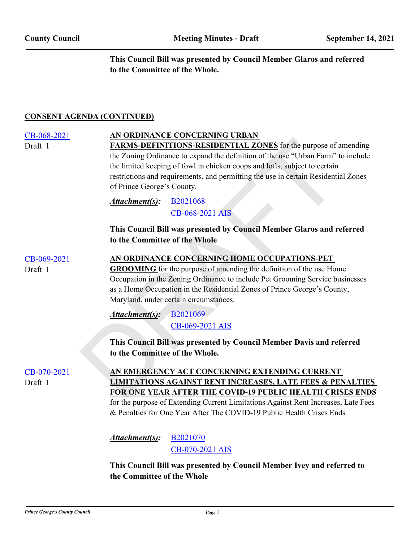**This Council Bill was presented by Council Member Glaros and referred to the Committee of the Whole.**

#### **CONSENT AGENDA (CONTINUED)**

| CB-068-2021<br>Draft 1 | of Prince George's County.     | AN ORDINANCE CONCERNING URBAN<br><b>FARMS-DEFINITIONS-RESIDENTIAL ZONES</b> for the purpose of amending<br>the Zoning Ordinance to expand the definition of the use "Urban Farm" to include<br>the limited keeping of fowl in chicken coops and lofts, subject to certain<br>restrictions and requirements, and permitting the use in certain Residential Zones |
|------------------------|--------------------------------|-----------------------------------------------------------------------------------------------------------------------------------------------------------------------------------------------------------------------------------------------------------------------------------------------------------------------------------------------------------------|
|                        | Attachment(s):                 | B <sub>2021068</sub><br>CB-068-2021 AIS                                                                                                                                                                                                                                                                                                                         |
|                        | to the Committee of the Whole  | This Council Bill was presented by Council Member Glaros and referred                                                                                                                                                                                                                                                                                           |
| CB-069-2021<br>Draft 1 |                                | AN ORDINANCE CONCERNING HOME OCCUPATIONS-PET<br><b>GROOMING</b> for the purpose of amending the definition of the use Home<br>Occupation in the Zoning Ordinance to include Pet Grooming Service businesses<br>as a Home Occupation in the Residential Zones of Prince George's County,<br>Maryland, under certain circumstances.                               |
|                        | Attachment(s):                 | B2021069<br>CB-069-2021 AIS                                                                                                                                                                                                                                                                                                                                     |
|                        | to the Committee of the Whole. | This Council Bill was presented by Council Member Davis and referred                                                                                                                                                                                                                                                                                            |
| CB-070-2021<br>Draft 1 |                                | AN EMERGENCY ACT CONCERNING EXTENDING CURRENT<br><b>LIMITATIONS AGAINST RENT INCREASES, LATE FEES &amp; PENALTIES</b><br>FOR ONE YEAR AFTER THE COVID-19 PUBLIC HEALTH CRISES ENDS<br>for the purpose of Extending Current Limitations Against Rent Increases, Late Fees<br>& Penalties for One Year After The COVID-19 Public Health Crises Ends               |
|                        | Attachment(s):                 | B2021070<br>CB-070-2021 AIS                                                                                                                                                                                                                                                                                                                                     |
|                        |                                | This Council Bill was presented by Council Member Ivey and referred to                                                                                                                                                                                                                                                                                          |

**the Committee of the Whole**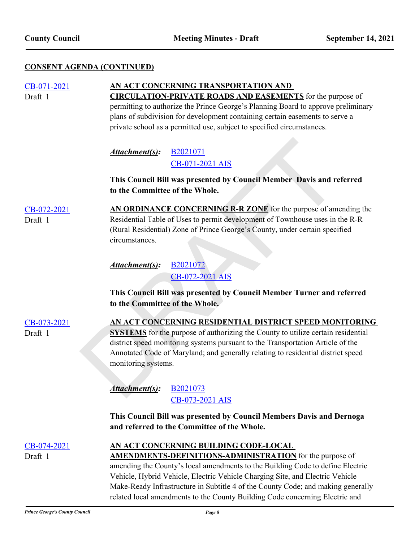## **CONSENT AGENDA (CONTINUED)**

| CB-071-2021 | AN ACT CONCERNING TRANSPORTATION AND                                 |                                                                                         |  |
|-------------|----------------------------------------------------------------------|-----------------------------------------------------------------------------------------|--|
| Draft 1     |                                                                      | <b>CIRCULATION-PRIVATE ROADS AND EASEMENTS</b> for the purpose of                       |  |
|             |                                                                      | permitting to authorize the Prince George's Planning Board to approve preliminary       |  |
|             |                                                                      | plans of subdivision for development containing certain easements to serve a            |  |
|             |                                                                      | private school as a permitted use, subject to specified circumstances.                  |  |
|             |                                                                      |                                                                                         |  |
|             | Attachment(s):                                                       | B <sub>2021071</sub>                                                                    |  |
|             |                                                                      | CB-071-2021 AIS                                                                         |  |
|             |                                                                      |                                                                                         |  |
|             | This Council Bill was presented by Council Member Davis and referred |                                                                                         |  |
|             | to the Committee of the Whole.                                       |                                                                                         |  |
| CB-072-2021 |                                                                      | AN ORDINANCE CONCERNING R-R ZONE for the purpose of amending the                        |  |
| Draft 1     |                                                                      | Residential Table of Uses to permit development of Townhouse uses in the R-R            |  |
|             |                                                                      | (Rural Residential) Zone of Prince George's County, under certain specified             |  |
|             | circumstances.                                                       |                                                                                         |  |
|             |                                                                      |                                                                                         |  |
|             | Attachment(s):                                                       | B <sub>2021072</sub>                                                                    |  |
|             |                                                                      | CB-072-2021 AIS                                                                         |  |
|             |                                                                      |                                                                                         |  |
|             |                                                                      | This Council Bill was presented by Council Member Turner and referred                   |  |
|             | to the Committee of the Whole.                                       |                                                                                         |  |
| CB-073-2021 |                                                                      | AN ACT CONCERNING RESIDENTIAL DISTRICT SPEED MONITORING                                 |  |
| Draft 1     |                                                                      | <b>SYSTEMS</b> for the purpose of authorizing the County to utilize certain residential |  |
|             |                                                                      | district speed monitoring systems pursuant to the Transportation Article of the         |  |
|             |                                                                      | Annotated Code of Maryland; and generally relating to residential district speed        |  |
|             | monitoring systems.                                                  |                                                                                         |  |
|             |                                                                      |                                                                                         |  |
|             | Attachment(s): B2021073                                              |                                                                                         |  |
|             |                                                                      |                                                                                         |  |
|             |                                                                      | CB-073-2021 AIS                                                                         |  |
|             |                                                                      | This Council Bill was presented by Council Members Davis and Dernoga                    |  |
|             |                                                                      | and referred to the Committee of the Whole.                                             |  |
| CB-074-2021 |                                                                      | AN ACT CONCERNING BUILDING CODE-LOCAL                                                   |  |
| Draft 1     |                                                                      | <b>AMENDMENTS-DEFINITIONS-ADMINISTRATION</b> for the purpose of                         |  |
|             |                                                                      | amending the County's local amendments to the Building Code to define Electric          |  |
|             |                                                                      | Vehicle, Hybrid Vehicle, Electric Vehicle Charging Site, and Electric Vehicle           |  |
|             |                                                                      | Make-Ready Infrastructure in Subtitle 4 of the County Code; and making generally        |  |
|             |                                                                      | related local amendments to the County Building Code concerning Electric and            |  |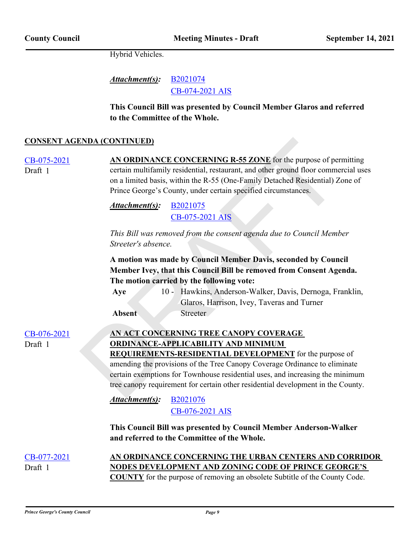Hybrid Vehicles.

[B2021074](http://princegeorgescountymd.legistar.com/gateway.aspx?M=F&ID=ad5cc66f-9251-4ffa-909d-5fa2b8e7f3c7.doc) [CB-074-2021 AIS](http://princegeorgescountymd.legistar.com/gateway.aspx?M=F&ID=3574bedb-67d0-4788-a395-9ac3585e8878.pdf) *Attachment(s):*

**This Council Bill was presented by Council Member Glaros and referred to the Committee of the Whole.**

#### **CONSENT AGENDA (CONTINUED)**

| <b>CONSENT AGENDA (CONTINUED)</b> |                                                                                                                                                                                                                                                                                                                                                                                                           |
|-----------------------------------|-----------------------------------------------------------------------------------------------------------------------------------------------------------------------------------------------------------------------------------------------------------------------------------------------------------------------------------------------------------------------------------------------------------|
| CB-075-2021<br>Draft 1            | AN ORDINANCE CONCERNING R-55 ZONE for the purpose of permitting<br>certain multifamily residential, restaurant, and other ground floor commercial uses<br>on a limited basis, within the R-55 (One-Family Detached Residential) Zone of<br>Prince George's County, under certain specified circumstances.                                                                                                 |
|                                   | Attachment(s):<br>B <sub>2021075</sub><br>CB-075-2021 AIS                                                                                                                                                                                                                                                                                                                                                 |
|                                   | This Bill was removed from the consent agenda due to Council Member<br>Streeter's absence.                                                                                                                                                                                                                                                                                                                |
|                                   | A motion was made by Council Member Davis, seconded by Council<br>Member Ivey, that this Council Bill be removed from Consent Agenda.<br>The motion carried by the following vote:<br>10 - Hawkins, Anderson-Walker, Davis, Dernoga, Franklin,<br>Aye<br>Glaros, Harrison, Ivey, Taveras and Turner<br><b>Streeter</b><br><b>Absent</b>                                                                   |
| CB-076-2021<br>Draft 1            | AN ACT CONCERNING TREE CANOPY COVERAGE<br><b>ORDINANCE-APPLICABILITY AND MINIMUM</b><br><b>REQUIREMENTS-RESIDENTIAL DEVELOPMENT</b> for the purpose of<br>amending the provisions of the Tree Canopy Coverage Ordinance to eliminate<br>certain exemptions for Townhouse residential uses, and increasing the minimum<br>tree canopy requirement for certain other residential development in the County. |
|                                   | B2021076<br>Attachment(s):<br>CB-076-2021 AIS                                                                                                                                                                                                                                                                                                                                                             |
|                                   | This Council Bill was presented by Council Member Anderson-Walker<br>and referred to the Committee of the Whole.                                                                                                                                                                                                                                                                                          |
| CB-077-2021                       | AN ORDINANCE CONCERNING THE URBAN CENTERS AND CORRIDOR                                                                                                                                                                                                                                                                                                                                                    |
| Draft 1                           | <b>NODES DEVELOPMENT AND ZONING CODE OF PRINCE GEORGE'S</b><br><b>COUNTY</b> for the purpose of removing an obsolete Subtitle of the County Code.                                                                                                                                                                                                                                                         |

*Prince George's County Council Page 9*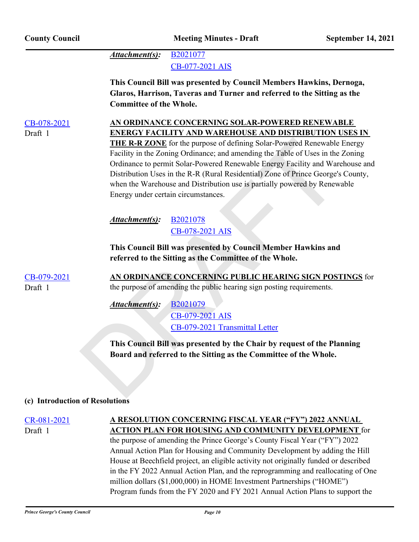| <b>County Council</b>  |                                | <b>Meeting Minutes - Draft</b>                                                                                                                                                                                                                                                                                                                                                                                                                                                                                                                                                       | September 14, 2021 |
|------------------------|--------------------------------|--------------------------------------------------------------------------------------------------------------------------------------------------------------------------------------------------------------------------------------------------------------------------------------------------------------------------------------------------------------------------------------------------------------------------------------------------------------------------------------------------------------------------------------------------------------------------------------|--------------------|
|                        | Attachment(s):                 | B2021077<br>CB-077-2021 AIS                                                                                                                                                                                                                                                                                                                                                                                                                                                                                                                                                          |                    |
|                        | <b>Committee of the Whole.</b> | This Council Bill was presented by Council Members Hawkins, Dernoga,<br>Glaros, Harrison, Taveras and Turner and referred to the Sitting as the                                                                                                                                                                                                                                                                                                                                                                                                                                      |                    |
| CB-078-2021<br>Draft 1 |                                | <u>AN ORDINANCE CONCERNING SOLAR-POWERED RENEWABLE</u><br><b>ENERGY FACILITY AND WAREHOUSE AND DISTRIBUTION USES IN</b><br><b>THE R-R ZONE</b> for the purpose of defining Solar-Powered Renewable Energy<br>Facility in the Zoning Ordinance; and amending the Table of Uses in the Zoning<br>Ordinance to permit Solar-Powered Renewable Energy Facility and Warehouse and<br>Distribution Uses in the R-R (Rural Residential) Zone of Prince George's County,<br>when the Warehouse and Distribution use is partially powered by Renewable<br>Energy under certain circumstances. |                    |
|                        | <u>Attachment(s)</u> :         | B <sub>2021078</sub><br>CB-078-2021 AIS                                                                                                                                                                                                                                                                                                                                                                                                                                                                                                                                              |                    |
|                        |                                | This Council Bill was presented by Council Member Hawkins and<br>referred to the Sitting as the Committee of the Whole.                                                                                                                                                                                                                                                                                                                                                                                                                                                              |                    |
| CB-079-2021<br>Draft 1 |                                | AN ORDINANCE CONCERNING PUBLIC HEARING SIGN POSTINGS for<br>the purpose of amending the public hearing sign posting requirements.                                                                                                                                                                                                                                                                                                                                                                                                                                                    |                    |
|                        | Attachment(s):                 | B2021079<br>CB-079-2021 AIS<br>CB-079-2021 Transmittal Letter                                                                                                                                                                                                                                                                                                                                                                                                                                                                                                                        |                    |
|                        |                                | This Council Bill was presented by the Chair by request of the Planning<br>Board and referred to the Sitting as the Committee of the Whole.                                                                                                                                                                                                                                                                                                                                                                                                                                          |                    |

#### **(c) Introduction of Resolutions**

Draft 1

#### [CR-081-2021](http://princegeorgescountymd.legistar.com/gateway.aspx?m=l&id=/matter.aspx?key=14123) **A RESOLUTION CONCERNING FISCAL YEAR ("FY") 2022 ANNUAL ACTION PLAN FOR HOUSING AND COMMUNITY DEVELOPMENT** for

the purpose of amending the Prince George's County Fiscal Year ("FY") 2022 Annual Action Plan for Housing and Community Development by adding the Hill House at Beechfield project, an eligible activity not originally funded or described in the FY 2022 Annual Action Plan, and the reprogramming and reallocating of One million dollars (\$1,000,000) in HOME Investment Partnerships ("HOME") Program funds from the FY 2020 and FY 2021 Annual Action Plans to support the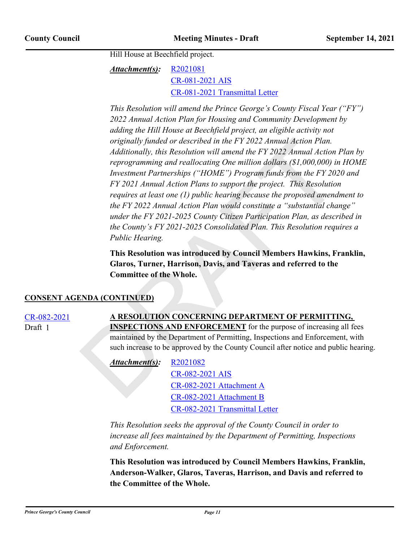Hill House at Beechfield project.

[R2021081](http://princegeorgescountymd.legistar.com/gateway.aspx?M=F&ID=cee37ad3-6b87-439b-9f36-78685dc8b4d7.doc) [CR-081-2021 AIS](http://princegeorgescountymd.legistar.com/gateway.aspx?M=F&ID=ee459b5b-3cbe-459d-b98f-6b5ea71c557a.pdf) [CR-081-2021 Transmittal Letter](http://princegeorgescountymd.legistar.com/gateway.aspx?M=F&ID=cd2f68af-d48c-4b53-af08-82651b4a82ee.pdf) *Attachment(s):*

originally funded or described in the FY 2022 Annual Action Plan.<br>
Additionally, this Resolution will amend the FY 2022 Annual Action<br>
reprogramming and reallocating One million dollars (81,000,000) in<br>
Investment Partner *This Resolution will amend the Prince George's County Fiscal Year ("FY") 2022 Annual Action Plan for Housing and Community Development by adding the Hill House at Beechfield project, an eligible activity not originally funded or described in the FY 2022 Annual Action Plan. Additionally, this Resolution will amend the FY 2022 Annual Action Plan by reprogramming and reallocating One million dollars (\$1,000,000) in HOME Investment Partnerships ("HOME") Program funds from the FY 2020 and FY 2021 Annual Action Plans to support the project. This Resolution requires at least one (1) public hearing because the proposed amendment to the FY 2022 Annual Action Plan would constitute a "substantial change" under the FY 2021-2025 County Citizen Participation Plan, as described in the County's FY 2021-2025 Consolidated Plan. This Resolution requires a Public Hearing.*

**This Resolution was introduced by Council Members Hawkins, Franklin, Glaros, Turner, Harrison, Davis, and Taveras and referred to the Committee of the Whole.**

#### **CONSENT AGENDA (CONTINUED)**

Draft 1

#### [CR-082-2021](http://princegeorgescountymd.legistar.com/gateway.aspx?m=l&id=/matter.aspx?key=14124) **A RESOLUTION CONCERNING DEPARTMENT OF PERMITTING, INSPECTIONS AND ENFORCEMENT** for the purpose of increasing all fees maintained by the Department of Permitting, Inspections and Enforcement, with such increase to be approved by the County Council after notice and public hearing.

R2021082 *Attachment(s):*

> CR-082-2021 AIS CR-082-2021 Attachment A CR-082-2021 Attachment B [CR-082-2021 Transmittal Letter](http://princegeorgescountymd.legistar.com/gateway.aspx?M=F&ID=736044ba-e95d-403f-adb8-0e9fe6209d8c.pdf)

*This Resolution seeks the approval of the County Council in order to increase all fees maintained by the Department of Permitting, Inspections and Enforcement.*

**This Resolution was introduced by Council Members Hawkins, Franklin, Anderson-Walker, Glaros, Taveras, Harrison, and Davis and referred to the Committee of the Whole.**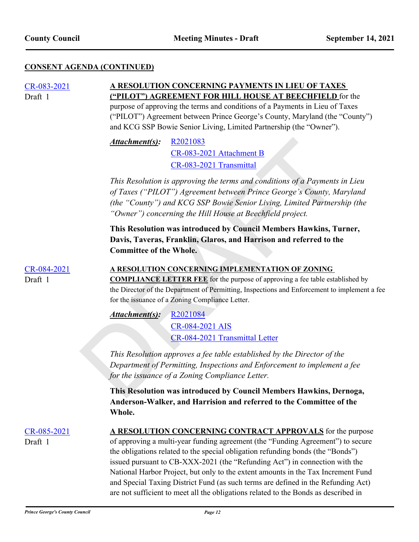## **CONSENT AGENDA (CONTINUED)**

| CR-083-2021<br>Draft 1 | A RESOLUTION CONCERNING PAYMENTS IN LIEU OF TAXES<br>("PILOT") AGREEMENT FOR HILL HOUSE AT BEECHFIELD for the<br>purpose of approving the terms and conditions of a Payments in Lieu of Taxes<br>("PILOT") Agreement between Prince George's County, Maryland (the "County")<br>and KCG SSP Bowie Senior Living, Limited Partnership (the "Owner").                                                                                                                                       |  |  |
|------------------------|-------------------------------------------------------------------------------------------------------------------------------------------------------------------------------------------------------------------------------------------------------------------------------------------------------------------------------------------------------------------------------------------------------------------------------------------------------------------------------------------|--|--|
|                        | Attachment(s):<br>R <sub>2021083</sub><br>CR-083-2021 Attachment B<br>CR-083-2021 Transmittal                                                                                                                                                                                                                                                                                                                                                                                             |  |  |
|                        | This Resolution is approving the terms and conditions of a Payments in Lieu<br>of Taxes ("PILOT") Agreement between Prince George's County, Maryland<br>(the "County") and KCG SSP Bowie Senior Living, Limited Partnership (the<br>"Owner") concerning the Hill House at Beechfield project.                                                                                                                                                                                             |  |  |
|                        | This Resolution was introduced by Council Members Hawkins, Turner,<br>Davis, Taveras, Franklin, Glaros, and Harrison and referred to the<br><b>Committee of the Whole.</b>                                                                                                                                                                                                                                                                                                                |  |  |
| CR-084-2021<br>Draft 1 | A RESOLUTION CONCERNING IMPLEMENTATION OF ZONING<br><b>COMPLIANCE LETTER FEE</b> for the purpose of approving a fee table established by<br>the Director of the Department of Permitting, Inspections and Enforcement to implement a fee<br>for the issuance of a Zoning Compliance Letter.                                                                                                                                                                                               |  |  |
|                        | Attachment(s):<br>R2021084<br>CR-084-2021 AIS<br>CR-084-2021 Transmittal Letter                                                                                                                                                                                                                                                                                                                                                                                                           |  |  |
|                        | This Resolution approves a fee table established by the Director of the<br>Department of Permitting, Inspections and Enforcement to implement a fee<br>for the issuance of a Zoning Compliance Letter.                                                                                                                                                                                                                                                                                    |  |  |
|                        | This Resolution was introduced by Council Members Hawkins, Dernoga,<br>Anderson-Walker, and Harrision and referred to the Committee of the<br>Whole.                                                                                                                                                                                                                                                                                                                                      |  |  |
| CR-085-2021<br>Draft 1 | A RESOLUTION CONCERNING CONTRACT APPROVALS for the purpose<br>of approving a multi-year funding agreement (the "Funding Agreement") to secure<br>the obligations related to the special obligation refunding bonds (the "Bonds")<br>issued pursuant to CB-XXX-2021 (the "Refunding Act") in connection with the<br>National Harbor Project, but only to the extent amounts in the Tax Increment Fund<br>and Special Taxing District Fund (as such terms are defined in the Refunding Act) |  |  |

are not sufficient to meet all the obligations related to the Bonds as described in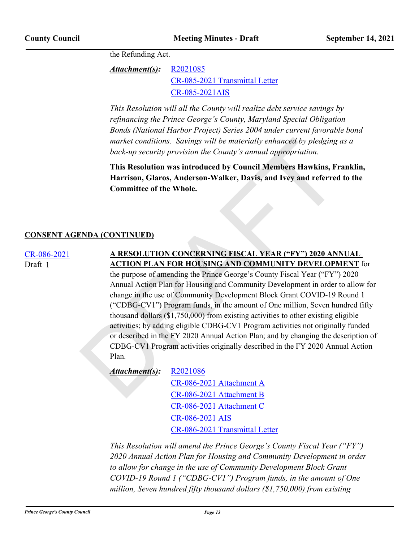the Refunding Act.

[R2021085](http://princegeorgescountymd.legistar.com/gateway.aspx?M=F&ID=7151a38f-a238-4ae7-ae82-8fa738e06143.docx) [CR-085-2021 Transmittal Letter](http://princegeorgescountymd.legistar.com/gateway.aspx?M=F&ID=d90792cb-6dcb-4f7a-8b4e-7ad531d7d2f5.pdf) [CR-085-2021AIS](http://princegeorgescountymd.legistar.com/gateway.aspx?M=F&ID=f737be14-67c5-475b-99f9-9399a79d1780.pdf) *Attachment(s):*

*This Resolution will all the County will realize debt service savings by refinancing the Prince George's County, Maryland Special Obligation Bonds (National Harbor Project) Series 2004 under current favorable bond market conditions. Savings will be materially enhanced by pledging as a back-up security provision the County's annual appropriation.*

**This Resolution was introduced by Council Members Hawkins, Franklin, Harrison, Glaros, Anderson-Walker, Davis, and Ivey and referred to the Committee of the Whole.**

#### **CONSENT AGENDA (CONTINUED)**

Draft 1

# [CR-086-2021](http://princegeorgescountymd.legistar.com/gateway.aspx?m=l&id=/matter.aspx?key=14142) **A RESOLUTION CONCERNING FISCAL YEAR ("FY") 2020 ANNUAL ACTION PLAN FOR HOUSING AND COMMUNITY DEVELOPMENT** for

market conditions. Savings will be materially enhanced by pledging<br>
back-up security provision the County's annual appropriation.<br>
This Resolution was introduced by Council Members Hawkins, Fr<br>
Harrison, Glaros, Andersonthe purpose of amending the Prince George's County Fiscal Year ("FY") 2020 Annual Action Plan for Housing and Community Development in order to allow for change in the use of Community Development Block Grant COVID-19 Round 1 ("CDBG-CV1") Program funds, in the amount of One million, Seven hundred fifty thousand dollars (\$1,750,000) from existing activities to other existing eligible activities; by adding eligible CDBG-CV1 Program activities not originally funded or described in the FY 2020 Annual Action Plan; and by changing the description of CDBG-CV1 Program activities originally described in the FY 2020 Annual Action Plan.

R2021086 *Attachment(s):*

> CR-086-2021 Attachment A CR-086-2021 Attachment B [CR-086-2021 Attachment C](http://princegeorgescountymd.legistar.com/gateway.aspx?M=F&ID=a7286bfd-04ca-40d5-83b1-c1cfa109b64a.pdf) [CR-086-2021 AIS](http://princegeorgescountymd.legistar.com/gateway.aspx?M=F&ID=c2a98f94-746d-4186-8564-3f856d1858aa.pdf) [CR-086-2021 Transmittal Letter](http://princegeorgescountymd.legistar.com/gateway.aspx?M=F&ID=d3184053-edd9-4aa1-83bd-c82bbb479cfa.pdf)

*This Resolution will amend the Prince George's County Fiscal Year ("FY") 2020 Annual Action Plan for Housing and Community Development in order to allow for change in the use of Community Development Block Grant COVID-19 Round 1 ("CDBG-CV1") Program funds, in the amount of One million, Seven hundred fifty thousand dollars (\$1,750,000) from existing*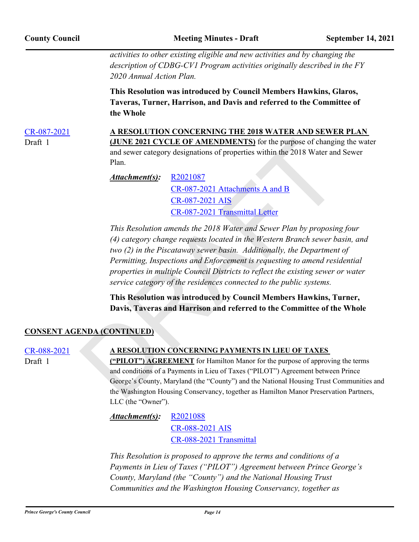*activities to other existing eligible and new activities and by changing the description of CDBG-CV1 Program activities originally described in the FY 2020 Annual Action Plan.*

**This Resolution was introduced by Council Members Hawkins, Glaros, Taveras, Turner, Harrison, and Davis and referred to the Committee of the Whole**

[CR-087-2021](http://princegeorgescountymd.legistar.com/gateway.aspx?m=l&id=/matter.aspx?key=14143) **A RESOLUTION CONCERNING THE 2018 WATER AND SEWER PLAN (JUNE 2021 CYCLE OF AMENDMENTS)** for the purpose of changing the water and sewer category designations of properties within the 2018 Water and Sewer Draft 1

> R2021087 CR-087-2021 Attachments A and B CR-087-2021 AIS CR-087-2021 Transmittal Letter *Attachment(s):*

(JUNE 2021 CYCLE OF [A](http://princegeorgescountymd.legistar.com/gateway.aspx?M=F&ID=ff9007fe-87ba-4e75-92a8-68af997da255.pdf)MENDMEN[T](http://princegeorgescountymd.legistar.com/gateway.aspx?M=F&ID=cbf2de6b-5e41-4ea8-95c7-7671e9f9e094.doc)S) for the purpose of changin<br>
and sewer category designations of properties within the 2018 Water and<br>
Plan.<br>
Attachment(s):  $R2021087$ <br>  $R-087-2021$  Attachments A and B<br>  $R-087-2021$  Attachm *This Resolution amends the 2018 Water and Sewer Plan by proposing four (4) category change requests located in the Western Branch sewer basin, and two (2) in the Piscataway sewer basin. Additionally, the Department of Permitting, Inspections and Enforcement is requesting to amend residential properties in multiple Council Districts to reflect the existing sewer or water service category of the residences connected to the public systems.*

**This Resolution was introduced by Council Members Hawkins, Turner, Davis, Taveras and Harrison and referred to the Committee of the Whole**

#### **CONSENT AGENDA (CONTINUED)**

Plan.

Draft 1

#### [CR-088-2021](http://princegeorgescountymd.legistar.com/gateway.aspx?m=l&id=/matter.aspx?key=14146) **A RESOLUTION CONCERNING PAYMENTS IN LIEU OF TAXES**

**("PILOT") AGREEMENT** for Hamilton Manor for the purpose of approving the terms and conditions of a Payments in Lieu of Taxes ("PILOT") Agreement between Prince George's County, Maryland (the "County") and the National Housing Trust Communities and the Washington Housing Conservancy, together as Hamilton Manor Preservation Partners, LLC (the "Owner").

[R2021088](http://princegeorgescountymd.legistar.com/gateway.aspx?M=F&ID=9ed5f501-cd37-49f7-ba38-8a579a1c8f58.doc) [CR-088-2021 AIS](http://princegeorgescountymd.legistar.com/gateway.aspx?M=F&ID=8fea1c63-fc86-4ea0-ab57-8b2eaa2bcd62.pdf) [CR-088-2021 Transmittal](http://princegeorgescountymd.legistar.com/gateway.aspx?M=F&ID=968881f5-1cdd-4b88-8cf5-bda04bc9d963.pdf) *Attachment(s):*

*This Resolution is proposed to approve the terms and conditions of a Payments in Lieu of Taxes ("PILOT") Agreement between Prince George's County, Maryland (the "County") and the National Housing Trust Communities and the Washington Housing Conservancy, together as*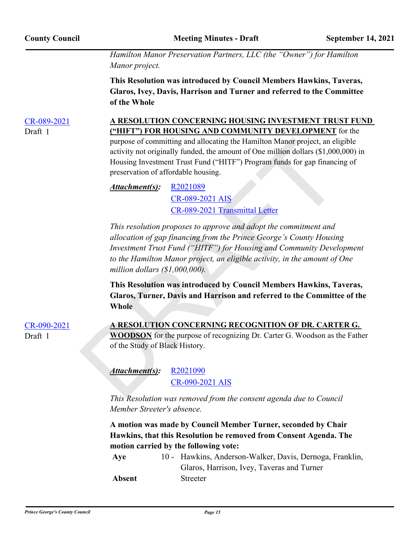*Hamilton Manor Preservation Partners, LLC (the "Owner") for Hamilton Manor project.*

**This Resolution was introduced by Council Members Hawkins, Taveras, Glaros, Ivey, Davis, Harrison and Turner and referred to the Committee of the Whole**

Draft 1

# [CR-089-2021](http://princegeorgescountymd.legistar.com/gateway.aspx?m=l&id=/matter.aspx?key=14145) **A RESOLUTION CONCERNING HOUSING INVESTMENT TRUST FUND ("HIFT") FOR HOUSING AND COMMUNITY DEVELOPMENT** for the purpose of committing and allocating the Hamilton Manor project, an eligible

activity not originally funded, the amount of One million dollars (\$1,000,000) in Housing Investment Trust Fund ("HITF") Program funds for gap financing of preservation of affordable housing.

#### R2021089 CR-089-2021 AIS CR-089-2021 Transmittal Letter *Attachment(s):*

purpose of committing and allocating the Hamilton Manor project, an eliativity not originally funded, the amount of One million dollars (\$1,000<br>Housing Investment Trust Fund ("HITF") Program funds for gap financial<br>preser *This resolution proposes to approve and adopt the commitment and allocation of gap financing from the Prince George's County Housing Investment Trust Fund ("HITF") for Housing and Community Development to the Hamilton Manor project, an eligible activity, in the amount of One million dollars (\$1,000,000).*

**This Resolution was introduced by Council Members Hawkins, Taveras, Glaros, Turner, Davis and Harrison and referred to the Committee of the Whole**

| $CR-090-2021$ | A RESOLUTION CONCERNING RECOGNITION OF DR. CARTER G.                              |
|---------------|-----------------------------------------------------------------------------------|
| Draft 1       | <b>WOODSON</b> for the purpose of recognizing Dr. Carter G. Woodson as the Father |
|               | of the Study of Black History.                                                    |

R2021090 CR-090-2021 AIS *Attachment(s):*

*This Resolution was removed from the consent agenda due to Council Member Streeter's absence.*

**A motion was made by Council Member Turner, seconded by Chair Hawkins, that this Resolution be removed from Consent Agenda. The motion carried by the following vote:**

| Aye    | 10 - Hawkins, Anderson-Walker, Davis, Dernoga, Franklin, |
|--------|----------------------------------------------------------|
|        | Glaros, Harrison, Ivey, Taveras and Turner               |
| Absent | <b>Streeter</b>                                          |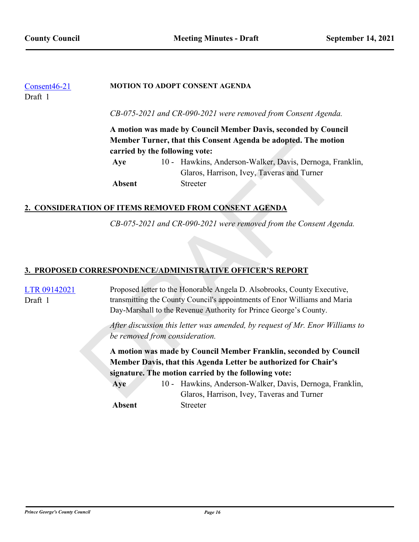| Consent46-21<br>Draft 1 |                                                                |  | <b>MOTION TO ADOPT CONSENT AGENDA</b>                          |
|-------------------------|----------------------------------------------------------------|--|----------------------------------------------------------------|
|                         |                                                                |  | CB-075-2021 and CR-090-2021 were removed from Consent Agenda.  |
|                         | A motion was made by Council Member Davis, seconded by Council |  |                                                                |
|                         |                                                                |  | Member Turner, that this Consent Agenda be adopted. The motion |
|                         | carried by the following vote:                                 |  |                                                                |
|                         | Aye                                                            |  | 10 - Hawkins, Anderson-Walker, Davis, Dernoga, Franklin,       |
|                         |                                                                |  | Glaros, Harrison, Ivey, Taveras and Turner                     |
|                         | Absent                                                         |  | <b>Streeter</b>                                                |

## **2. CONSIDERATION OF ITEMS REMOVED FROM CONSENT AGENDA**

## **3. PROPOSED CORRESPONDENCE/ADMINISTRATIVE OFFICER'S REPORT**

|                                                                                      | carried by the following vote:<br>Aye | 10 - Hawkins, Anderson-Walker, Davis, Dernoga, Franklin,                                                                                          |
|--------------------------------------------------------------------------------------|---------------------------------------|---------------------------------------------------------------------------------------------------------------------------------------------------|
|                                                                                      |                                       |                                                                                                                                                   |
|                                                                                      |                                       |                                                                                                                                                   |
|                                                                                      |                                       | Glaros, Harrison, Ivey, Taveras and Turner                                                                                                        |
|                                                                                      | <b>Absent</b>                         | <b>Streeter</b>                                                                                                                                   |
|                                                                                      |                                       |                                                                                                                                                   |
|                                                                                      |                                       |                                                                                                                                                   |
|                                                                                      |                                       | 2. CONSIDERATION OF ITEMS REMOVED FROM CONSENT AGENDA                                                                                             |
|                                                                                      |                                       | CB-075-2021 and CR-090-2021 were removed from the Consent Agenda.                                                                                 |
|                                                                                      |                                       |                                                                                                                                                   |
|                                                                                      |                                       |                                                                                                                                                   |
|                                                                                      |                                       |                                                                                                                                                   |
|                                                                                      |                                       | 3. PROPOSED CORRESPONDENCE/ADMINISTRATIVE OFFICER'S REPORT                                                                                        |
|                                                                                      |                                       |                                                                                                                                                   |
| LTR 09142021                                                                         |                                       | Proposed letter to the Honorable Angela D. Alsobrooks, County Executive,                                                                          |
| transmitting the County Council's appointments of Enor Williams and Maria<br>Draft 1 |                                       |                                                                                                                                                   |
|                                                                                      |                                       |                                                                                                                                                   |
|                                                                                      |                                       |                                                                                                                                                   |
|                                                                                      |                                       |                                                                                                                                                   |
|                                                                                      |                                       |                                                                                                                                                   |
|                                                                                      |                                       | A motion was made by Council Member Franklin, seconded by Council                                                                                 |
|                                                                                      |                                       | Member Davis, that this Agenda Letter be authorized for Chair's                                                                                   |
|                                                                                      |                                       | signature. The motion carried by the following vote:                                                                                              |
|                                                                                      |                                       |                                                                                                                                                   |
|                                                                                      | Aye                                   | 10 - Hawkins, Anderson-Walker, Davis, Dernoga, Franklin,                                                                                          |
|                                                                                      |                                       | Glaros, Harrison, Ivey, Taveras and Turner                                                                                                        |
|                                                                                      | be removed from consideration.        | Day-Marshall to the Revenue Authority for Prince George's County.<br>After discussion this letter was amended, by request of Mr. Enor Williams to |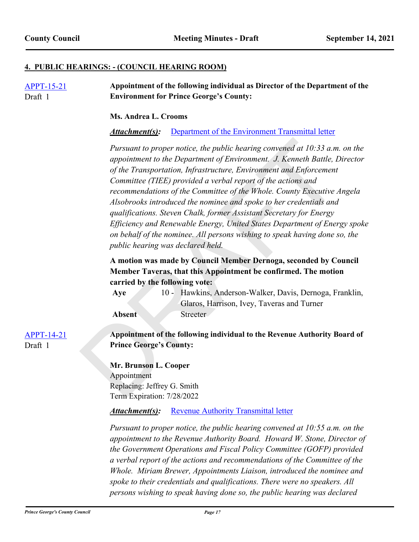#### **4. PUBLIC HEARINGS: - (COUNCIL HEARING ROOM)**

| <b>APPT-15-21</b><br>Draft 1 | Appointment of the following individual as Director of the Department of the<br><b>Environment for Prince George's County:</b>                                                                                                                                                                                                                                                                                                                                                                                                                                                                                                                                                                                          |  |  |  |
|------------------------------|-------------------------------------------------------------------------------------------------------------------------------------------------------------------------------------------------------------------------------------------------------------------------------------------------------------------------------------------------------------------------------------------------------------------------------------------------------------------------------------------------------------------------------------------------------------------------------------------------------------------------------------------------------------------------------------------------------------------------|--|--|--|
|                              | Ms. Andrea L. Crooms                                                                                                                                                                                                                                                                                                                                                                                                                                                                                                                                                                                                                                                                                                    |  |  |  |
|                              | Attachment(s):<br>Department of the Environment Transmittal letter                                                                                                                                                                                                                                                                                                                                                                                                                                                                                                                                                                                                                                                      |  |  |  |
|                              | Pursuant to proper notice, the public hearing convened at $10:33$ a.m. on the<br>appointment to the Department of Environment. J. Kenneth Battle, Director<br>of the Transportation, Infrastructure, Environment and Enforcement<br>Committee (TIEE) provided a verbal report of the actions and<br>recommendations of the Committee of the Whole. County Executive Angela<br>Alsobrooks introduced the nominee and spoke to her credentials and<br>qualifications. Steven Chalk, former Assistant Secretary for Energy<br>Efficiency and Renewable Energy, United States Department of Energy spoke<br>on behalf of the nominee. All persons wishing to speak having done so, the<br>public hearing was declared held. |  |  |  |
|                              | A motion was made by Council Member Dernoga, seconded by Council<br>Member Taveras, that this Appointment be confirmed. The motion<br>carried by the following vote:<br>10 - Hawkins, Anderson-Walker, Davis, Dernoga, Franklin,<br>Aye<br>Glaros, Harrison, Ivey, Taveras and Turner<br>Streeter<br>Absent                                                                                                                                                                                                                                                                                                                                                                                                             |  |  |  |
| <b>APPT-14-21</b><br>Draft 1 | Appointment of the following individual to the Revenue Authority Board of<br><b>Prince George's County:</b>                                                                                                                                                                                                                                                                                                                                                                                                                                                                                                                                                                                                             |  |  |  |
|                              | Mr. Brunson L. Cooper<br>Appointment<br>Replacing: Jeffrey G. Smith<br>Term Expiration: 7/28/2022                                                                                                                                                                                                                                                                                                                                                                                                                                                                                                                                                                                                                       |  |  |  |
|                              | Attachment(s):<br><b>Revenue Authority Transmittal letter</b>                                                                                                                                                                                                                                                                                                                                                                                                                                                                                                                                                                                                                                                           |  |  |  |
|                              | Pursuant to proper notice, the public hearing convened at $10:55$ a.m. on the<br>appointment to the Revenue Authority Board. Howard W. Stone, Director of<br>the Government Operations and Fiscal Policy Committee (GOFP) provided<br>a verbal report of the actions and recommendations of the Committee of the<br>Whole. Miriam Brewer, Appointments Liaison, introduced the nominee and<br>spoke to their credentials and qualifications. There were no speakers. All<br>persons wishing to speak having done so, the public hearing was declared                                                                                                                                                                    |  |  |  |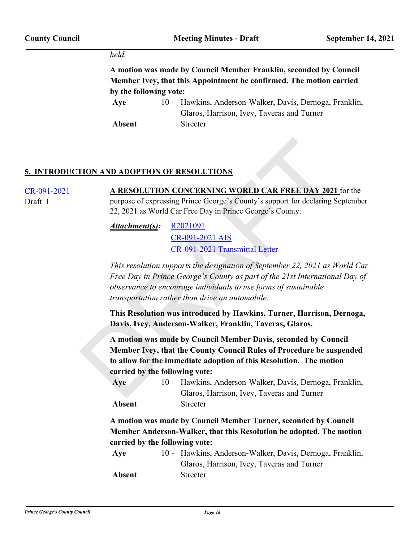#### *held.*

**A motion was made by Council Member Franklin, seconded by Council Member Ivey, that this Appointment be confirmed. The motion carried by the following vote:**

Aye 10 - Hawkins, Anderson-Walker, Davis, Dernoga, Franklin, Glaros, Harrison, Ivey, Taveras and Turner **Absent** Streeter

#### **5. INTRODUCTION AND ADOPTION OF RESOLUTIONS**

[CR-091-2021](http://princegeorgescountymd.legistar.com/gateway.aspx?m=l&id=/matter.aspx?key=14122) **A RESOLUTION CONCERNING WORLD CAR FREE DAY 2021** for the purpose of expressing Prince George's County's support for declaring September 22, 2021 as World Car Free Day in Prince George's County. Draft 1

> R2021091 CR-091-2021 AIS CR-091-2021 Transmittal Letter *Attachment(s):*

*This resolution supports the designation of September 22, 2021 as World Car Free Day in Prince George's County as part of the 21st International Day of observance to encourage individuals to use forms of sustainable transportation rather than drive an automobile.*

**This Resolution was introduced by Hawkins, Turner, Harrison, Dernoga, Davis, Ivey, Anderson-Walker, Franklin, Taveras, Glaros.**

**EXECUTION OF RESOLUTIONS**<br> **A RESOLUTION CONCERNING WORLD CAR FREE DAY 2021**<br>
purpose of expressing Prince George's County's support for declaring Se<br>
22, 2021 as World Car Free Day in Prince George's County.<br> **Attachmen A motion was made by Council Member Davis, seconded by Council Member Ivey, that the County Council Rules of Procedure be suspended to allow for the immediate adoption of this Resolution. The motion carried by the following vote:**

| Aye    | 10 - Hawkins, Anderson-Walker, Davis, Dernoga, Franklin, |
|--------|----------------------------------------------------------|
|        | Glaros, Harrison, Ivey, Taveras and Turner               |
| Absent | <b>Streeter</b>                                          |

**A motion was made by Council Member Turner, seconded by Council Member Anderson-Walker, that this Resolution be adopted. The motion carried by the following vote:**

| Aye           | 10 - Hawkins, Anderson-Walker, Davis, Dernoga, Franklin, |
|---------------|----------------------------------------------------------|
|               | Glaros, Harrison, Ivey, Taveras and Turner               |
| <b>Absent</b> | <b>Streeter</b>                                          |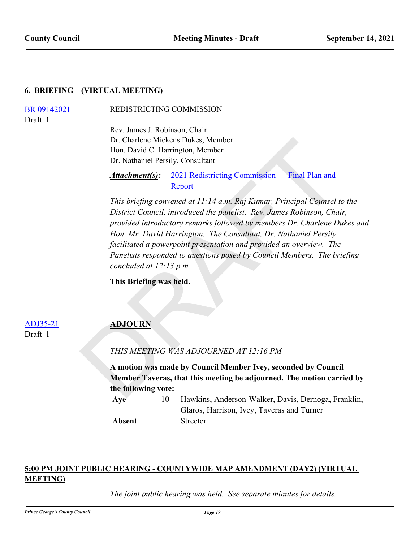#### **6. BRIEFING – (VIRTUAL MEETING)**

Draft 1

[BR 09142021](http://princegeorgescountymd.legistar.com/gateway.aspx?m=l&id=/matter.aspx?key=14155) REDISTRICTING COMMISSION

Rev. James J. Robinson, Chair Dr. Charlene Mickens Dukes, Member Hon. David C. Harrington, Member Dr. Nathaniel Persily, Consultant

#### 2021 Redistricting Commission --- Final Plan and Report *Attachment(s):*

[D](http://princegeorgescountymd.legistar.com/gateway.aspx?m=l&id=/matter.aspx?key=14157)r. Charlene Mickens Dukes, Member<br>
Hon. David C. Harrington, Member<br>
Dr. Nathaniel Persily, Consultant<br> **Attachment(s):** 2021 Redistricting Commission — Final Plan and<br> **Attachment(s):** 2021 Redistricting Commission — Fin *This briefing convened at 11:14 a.m. Raj Kumar, Principal Counsel to the District Council, introduced the panelist. Rev. James Robinson, Chair, provided introductory remarks followed by members Dr. Charlene Dukes and Hon. Mr. David Harrington. The Consultant, Dr. Nathaniel Persily, facilitated a powerpoint presentation and provided an overview. The Panelists responded to questions posed by Council Members. The briefing concluded at 12:13 p.m.*

**This Briefing was held.**

## ADJ35-21 **ADJOURN**

Draft 1

#### *THIS MEETING WAS ADJOURNED AT 12:16 PM*

**A motion was made by Council Member Ivey, seconded by Council Member Taveras, that this meeting be adjourned. The motion carried by the following vote:**

Aye 10 - Hawkins, Anderson-Walker, Davis, Dernoga, Franklin, Glaros, Harrison, Ivey, Taveras and Turner **Absent** Streeter

## **5:00 PM JOINT PUBLIC HEARING - COUNTYWIDE MAP AMENDMENT (DAY2) (VIRTUAL MEETING)**

*The joint public hearing was held. See separate minutes for details.*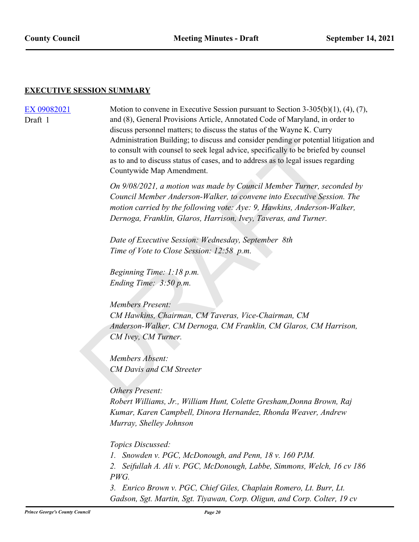#### **EXECUTIVE SESSION SUMMARY**

Draft 1

[EX 09082021](http://princegeorgescountymd.legistar.com/gateway.aspx?m=l&id=/matter.aspx?key=14129) Motion to convene in Executive Session pursuant to Section 3-305(b)(1), (4), (7), and (8), General Provisions Article, Annotated Code of Maryland, in order to discuss personnel matters; to discuss the status of the Wayne K. Curry Administration Building; to discuss and consider pending or potential litigation and to consult with counsel to seek legal advice, specifically to be briefed by counsel as to and to discuss status of cases, and to address as to legal issues regarding Countywide Map Amendment.

> *On 9/08/2021, a motion was made by Council Member Turner, seconded by Council Member Anderson-Walker, to convene into Executive Session. The motion carried by the following vote: Aye: 9, Hawkins, Anderson-Walker, Dernoga, Franklin, Glaros, Harrison, Ivey, Taveras, and Turner.*

*Date of Executive Session: Wednesday, September 8th Time of Vote to Close Session: 12:58 p.m.* 

*Beginning Time: 1:18 p.m. Ending Time: 3:50 p.m.*

Administration Building; to discuss and consider pending or potential lititic consult with counsel to seek legal alwice, specifically to be briefed by<br>as to and to discuss status of cases, and to address as to legal issues *Members Present: CM Hawkins, Chairman, CM Taveras, Vice-Chairman, CM Anderson-Walker, CM Dernoga, CM Franklin, CM Glaros, CM Harrison, CM Ivey, CM Turner.*

*Members Absent: CM Davis and CM Streeter*

#### *Others Present:*

*Robert Williams, Jr., William Hunt, Colette Gresham,Donna Brown, Raj Kumar, Karen Campbell, Dinora Hernandez, Rhonda Weaver, Andrew Murray, Shelley Johnson*

#### *Topics Discussed:*

*1. Snowden v. PGC, McDonough, and Penn, 18 v. 160 PJM.* 

*2. Seifullah A. Ali v. PGC, McDonough, Labbe, Simmons, Welch, 16 cv 186 PWG.* 

*3. Enrico Brown v. PGC, Chief Giles, Chaplain Romero, Lt. Burr, Lt. Gadson, Sgt. Martin, Sgt. Tiyawan, Corp. Oligun, and Corp. Colter, 19 cv*